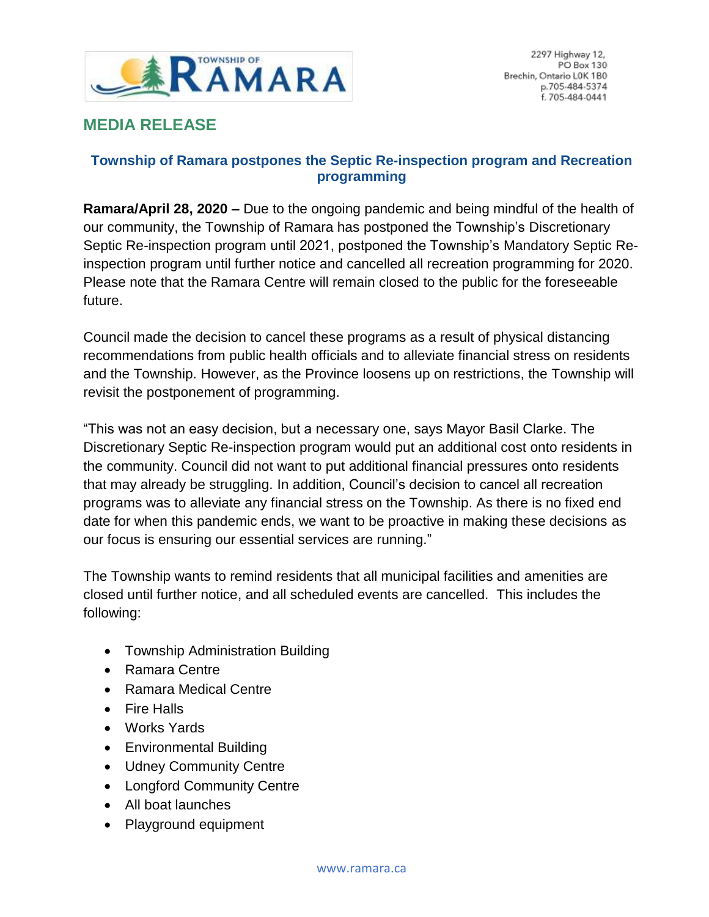

## **MEDIA RELEASE**

## **Township of Ramara postpones the Septic Re-inspection program and Recreation programming**

**Ramara/April 28, 2020 –** Due to the ongoing pandemic and being mindful of the health of our community, the Township of Ramara has postponed the Township's Discretionary Septic Re-inspection program until 2021, postponed the Township's Mandatory Septic Reinspection program until further notice and cancelled all recreation programming for 2020. Please note that the Ramara Centre will remain closed to the public for the foreseeable future.

Council made the decision to cancel these programs as a result of physical distancing recommendations from public health officials and to alleviate financial stress on residents and the Township. However, as the Province loosens up on restrictions, the Township will revisit the postponement of programming.

"This was not an easy decision, but a necessary one, says Mayor Basil Clarke. The Discretionary Septic Re-inspection program would put an additional cost onto residents in the community. Council did not want to put additional financial pressures onto residents that may already be struggling. In addition, Council's decision to cancel all recreation programs was to alleviate any financial stress on the Township. As there is no fixed end date for when this pandemic ends, we want to be proactive in making these decisions as our focus is ensuring our essential services are running."

The Township wants to remind residents that all municipal facilities and amenities are closed until further notice, and all scheduled events are cancelled. This includes the following:

- Township Administration Building
- Ramara Centre
- Ramara Medical Centre
- Fire Halls
- Works Yards
- Environmental Building
- Udney Community Centre
- Longford Community Centre
- All boat launches
- Playground equipment